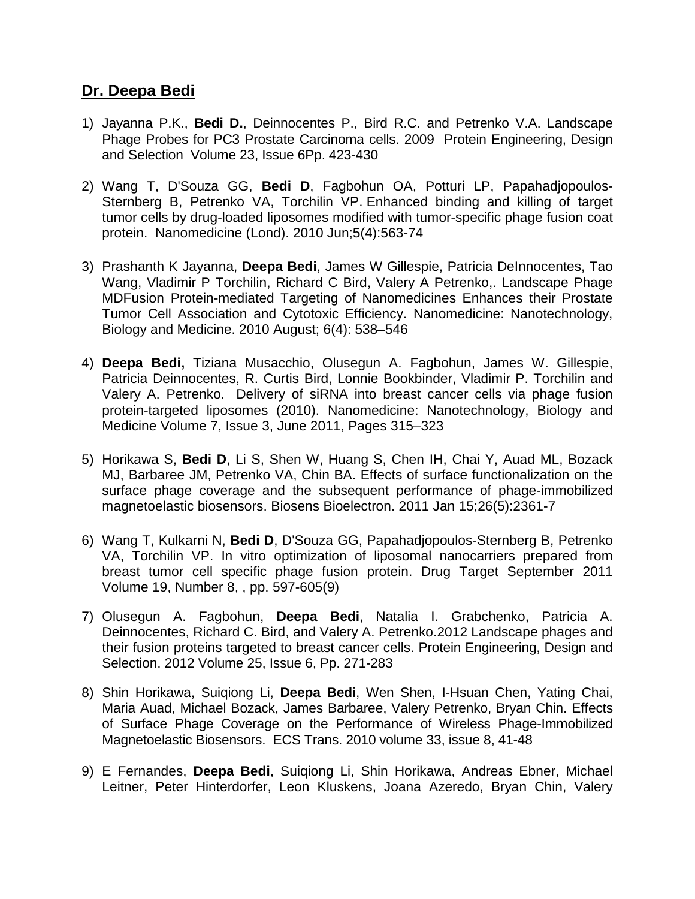## **Dr. Deepa Bedi**

- 1) Jayanna P.K., **Bedi D.**, Deinnocentes P., Bird R.C. and Petrenko V.A. Landscape Phage Probes for PC3 Prostate Carcinoma cells. 2009 Protein Engineering, Design and Selection Volume 23, Issue 6Pp. 423-430
- 2) Wang T, D'Souza GG, **Bedi D**, Fagbohun OA, Potturi LP, Papahadjopoulos-Sternberg B, Petrenko VA, Torchilin VP. [Enhanced binding and killing of target](http://www.ncbi.nlm.nih.gov/pubmed/20528452)  [tumor cells by drug-loaded liposomes modified with tumor-specific phage fusion coat](http://www.ncbi.nlm.nih.gov/pubmed/20528452)  [protein.](http://www.ncbi.nlm.nih.gov/pubmed/20528452) Nanomedicine (Lond). 2010 Jun;5(4):563-74
- 3) Prashanth K Jayanna, **Deepa Bedi**, James W Gillespie, Patricia DeInnocentes, Tao Wang, Vladimir P Torchilin, Richard C Bird, Valery A Petrenko,. Landscape Phage MDFusion Protein-mediated Targeting of Nanomedicines Enhances their Prostate Tumor Cell Association and Cytotoxic Efficiency. Nanomedicine: Nanotechnology, Biology and Medicine. 2010 August; 6(4): 538–546
- 4) **Deepa Bedi,** Tiziana Musacchio, Olusegun A. Fagbohun, James W. Gillespie, Patricia Deinnocentes, R. Curtis Bird, Lonnie Bookbinder, Vladimir P. Torchilin and Valery A. Petrenko. Delivery of siRNA into breast cancer cells via phage fusion protein-targeted liposomes (2010). Nanomedicine: Nanotechnology, Biology and Medicine Volume 7, Issue 3, June 2011, Pages 315–323
- 5) Horikawa S, **Bedi D**, Li S, Shen W, Huang S, Chen IH, Chai Y, Auad ML, Bozack MJ, Barbaree JM, Petrenko VA, Chin BA. Effects of surface functionalization on the surface phage coverage and the subsequent performance of phage-immobilized magnetoelastic biosensors. Biosens Bioelectron. 2011 Jan 15;26(5):2361-7
- 6) Wang T, Kulkarni N, **Bedi D**, D'Souza GG, Papahadjopoulos-Sternberg B, Petrenko VA, Torchilin VP. In vitro optimization of liposomal nanocarriers prepared from breast tumor cell specific phage fusion protein. Drug Target September 2011 Volume 19, Number 8, , pp. 597-605(9)
- 7) Olusegun A. Fagbohun, **Deepa Bedi**, Natalia I. Grabchenko, Patricia A. Deinnocentes, Richard C. Bird, and Valery A. Petrenko.2012 Landscape phages and their fusion proteins targeted to breast cancer cells. Protein Engineering, Design and Selection. 2012 Volume 25, Issue 6, Pp. 271-283
- 8) Shin Horikawa, Suiqiong Li, **Deepa Bedi**, Wen Shen, I-Hsuan Chen, Yating Chai, Maria Auad, Michael Bozack, James Barbaree, Valery Petrenko, Bryan Chin. Effects of Surface Phage Coverage on the Performance of Wireless Phage-Immobilized Magnetoelastic Biosensors. ECS Trans. 2010 volume 33, issue 8, 41-48
- 9) E Fernandes, **Deepa Bedi**, Suiqiong Li, Shin Horikawa, Andreas Ebner, Michael Leitner, Peter Hinterdorfer, Leon Kluskens, Joana Azeredo, Bryan Chin, Valery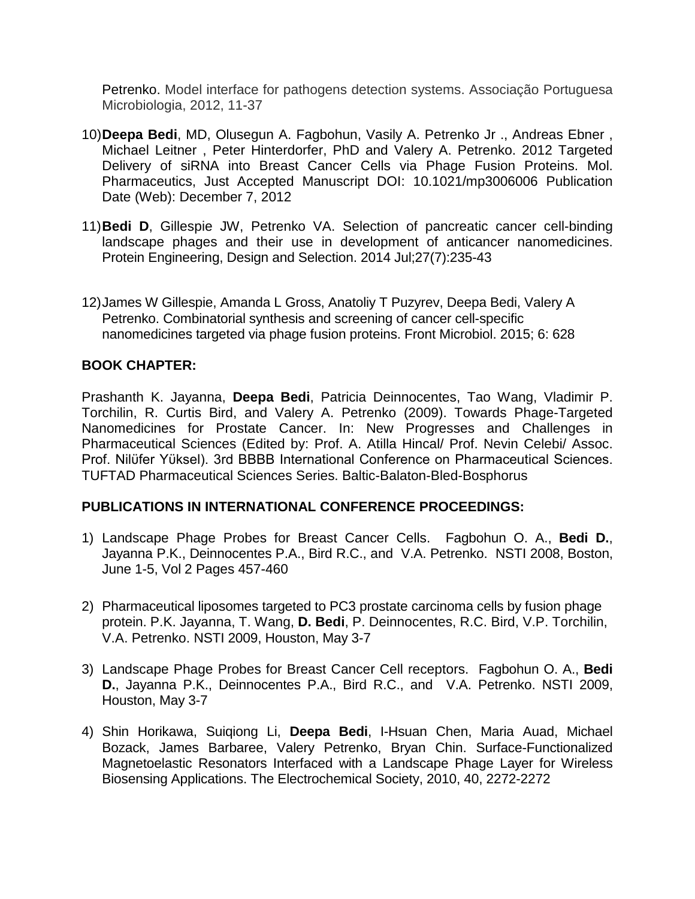Petrenko. Model interface for pathogens detection systems. Associação Portuguesa Microbiologia, 2012, 11-37

- 10)**Deepa Bedi**, MD, Olusegun A. Fagbohun, Vasily A. Petrenko Jr ., Andreas Ebner , Michael Leitner , Peter Hinterdorfer, PhD and Valery A. Petrenko. 2012 Targeted Delivery of siRNA into Breast Cancer Cells via Phage Fusion Proteins. Mol. Pharmaceutics, Just Accepted Manuscript DOI: 10.1021/mp3006006 Publication Date (Web): December 7, 2012
- 11)**Bedi D**, Gillespie JW, Petrenko VA. Selection of pancreatic cancer cell-binding landscape phages and their use in development of anticancer nanomedicines. Protein Engineering, Design and Selection. 2014 Jul;27(7):235-43
- 12)James W Gillespie, Amanda L Gross, Anatoliy T Puzyrev, Deepa Bedi, Valery A Petrenko. Combinatorial synthesis and screening of cancer cell-specific nanomedicines targeted via phage fusion proteins. Front Microbiol. 2015; 6: 628

## **BOOK CHAPTER:**

Prashanth K. Jayanna, **Deepa Bedi**, Patricia Deinnocentes, Tao Wang, Vladimir P. Torchilin, R. Curtis Bird, and Valery A. Petrenko (2009). Towards Phage-Targeted Nanomedicines for Prostate Cancer. In: New Progresses and Challenges in Pharmaceutical Sciences (Edited by: Prof. A. Atilla Hincal/ Prof. Nevin Celebi/ Assoc. Prof. Nilϋfer Yϋksel). 3rd BBBB International Conference on Pharmaceutical Sciences. TUFTAD Pharmaceutical Sciences Series. Baltic-Balaton-Bled-Bosphorus

## **PUBLICATIONS IN INTERNATIONAL CONFERENCE PROCEEDINGS:**

- 1) Landscape Phage Probes for Breast Cancer Cells. Fagbohun O. A., **Bedi D.**, Jayanna P.K., Deinnocentes P.A., Bird R.C., and V.A. Petrenko. NSTI 2008, Boston, June 1-5, Vol 2 Pages 457-460
- 2) Pharmaceutical liposomes targeted to PC3 prostate carcinoma cells by fusion phage protein. P.K. Jayanna, T. Wang, **D. Bedi**, P. Deinnocentes, R.C. Bird, V.P. Torchilin, V.A. Petrenko. NSTI 2009, Houston, May 3-7
- 3) Landscape Phage Probes for Breast Cancer Cell receptors. Fagbohun O. A., **Bedi D.**, Jayanna P.K., Deinnocentes P.A., Bird R.C., and V.A. Petrenko. NSTI 2009, Houston, May 3-7
- 4) Shin Horikawa, Suiqiong Li, **Deepa Bedi**, I-Hsuan Chen, Maria Auad, Michael Bozack, James Barbaree, Valery Petrenko, Bryan Chin. Surface-Functionalized Magnetoelastic Resonators Interfaced with a Landscape Phage Layer for Wireless Biosensing Applications. The Electrochemical Society, 2010, 40, 2272-2272